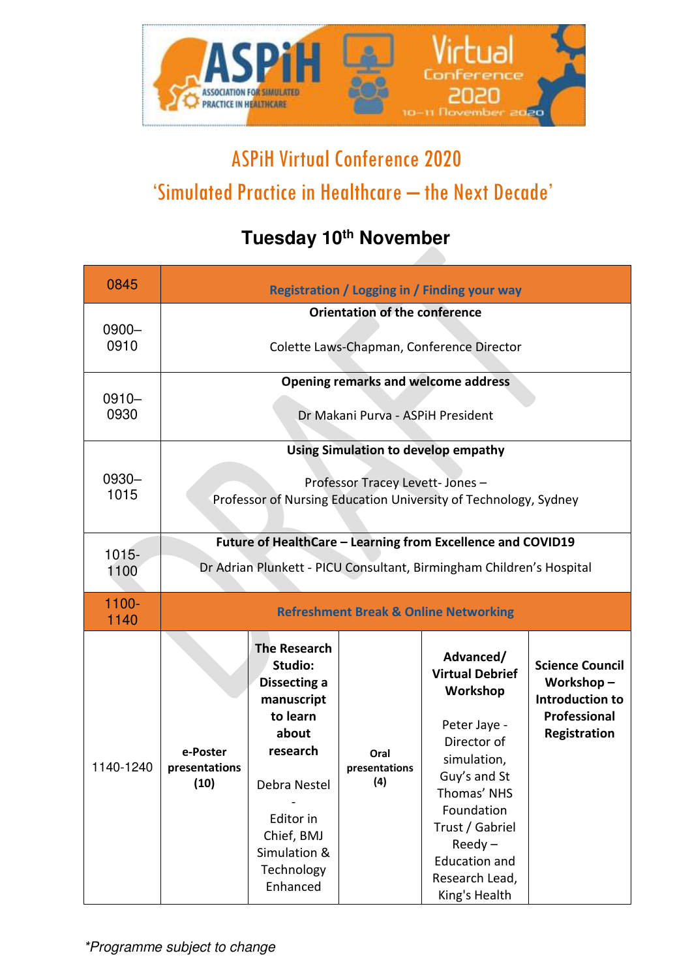

## ASPiH Virtual Conference 2020 'Simulated Practice in Healthcare – the Next Decade'

## **Tuesday 10th November**

| 0845             | Registration / Logging in / Finding your way                                                                                                      |                                                                                                                                                                                           |                              |                                                                                                                                                                                                                                       |                                                                                        |  |  |  |
|------------------|---------------------------------------------------------------------------------------------------------------------------------------------------|-------------------------------------------------------------------------------------------------------------------------------------------------------------------------------------------|------------------------------|---------------------------------------------------------------------------------------------------------------------------------------------------------------------------------------------------------------------------------------|----------------------------------------------------------------------------------------|--|--|--|
| $0900 -$<br>0910 | Orientation of the conference<br>Colette Laws-Chapman, Conference Director                                                                        |                                                                                                                                                                                           |                              |                                                                                                                                                                                                                                       |                                                                                        |  |  |  |
| $0910 -$<br>0930 | <b>Opening remarks and welcome address</b><br>Dr Makani Purva - ASPIH President                                                                   |                                                                                                                                                                                           |                              |                                                                                                                                                                                                                                       |                                                                                        |  |  |  |
| 0930-<br>1015    | <b>Using Simulation to develop empathy</b><br>Professor Tracey Levett- Jones -<br>Professor of Nursing Education University of Technology, Sydney |                                                                                                                                                                                           |                              |                                                                                                                                                                                                                                       |                                                                                        |  |  |  |
| 1015-<br>1100    | Future of HealthCare - Learning from Excellence and COVID19<br>Dr Adrian Plunkett - PICU Consultant, Birmingham Children's Hospital               |                                                                                                                                                                                           |                              |                                                                                                                                                                                                                                       |                                                                                        |  |  |  |
| 1100-<br>1140    | <b>Refreshment Break &amp; Online Networking</b>                                                                                                  |                                                                                                                                                                                           |                              |                                                                                                                                                                                                                                       |                                                                                        |  |  |  |
| 1140-1240        | e-Poster<br>presentations<br>(10)                                                                                                                 | <b>The Research</b><br>Studio:<br><b>Dissecting a</b><br>manuscript<br>to learn<br>about<br>research<br>Debra Nestel<br>Editor in<br>Chief, BMJ<br>Simulation &<br>Technology<br>Enhanced | Oral<br>presentations<br>(4) | Advanced/<br><b>Virtual Debrief</b><br>Workshop<br>Peter Jaye -<br>Director of<br>simulation,<br>Guy's and St<br>Thomas' NHS<br>Foundation<br>Trust / Gabriel<br>$Reedy -$<br><b>Education and</b><br>Research Lead,<br>King's Health | <b>Science Council</b><br>Workshop-<br>Introduction to<br>Professional<br>Registration |  |  |  |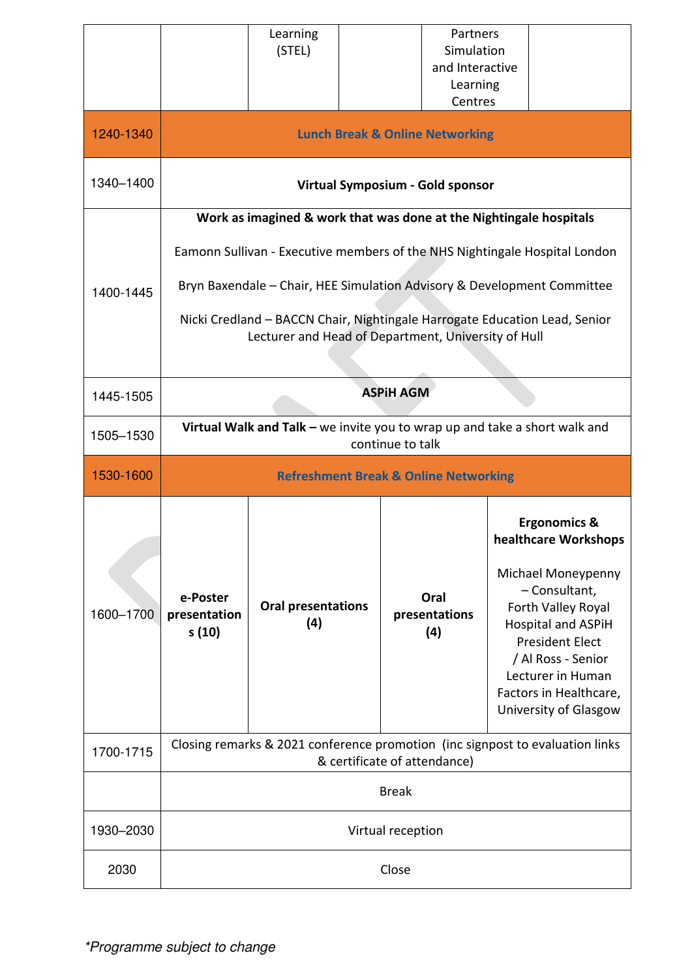|           |                                                                                                                                   | Learning<br>(STEL)               |                              | Partners<br>Simulation<br>and Interactive |                                                                                                                                                                                                                |  |  |  |
|-----------|-----------------------------------------------------------------------------------------------------------------------------------|----------------------------------|------------------------------|-------------------------------------------|----------------------------------------------------------------------------------------------------------------------------------------------------------------------------------------------------------------|--|--|--|
|           |                                                                                                                                   |                                  |                              | Learning<br>Centres                       |                                                                                                                                                                                                                |  |  |  |
| 1240-1340 | <b>Lunch Break &amp; Online Networking</b>                                                                                        |                                  |                              |                                           |                                                                                                                                                                                                                |  |  |  |
| 1340-1400 | Virtual Symposium - Gold sponsor                                                                                                  |                                  |                              |                                           |                                                                                                                                                                                                                |  |  |  |
|           | Work as imagined & work that was done at the Nightingale hospitals                                                                |                                  |                              |                                           |                                                                                                                                                                                                                |  |  |  |
|           | Eamonn Sullivan - Executive members of the NHS Nightingale Hospital London                                                        |                                  |                              |                                           |                                                                                                                                                                                                                |  |  |  |
| 1400-1445 | Bryn Baxendale - Chair, HEE Simulation Advisory & Development Committee                                                           |                                  |                              |                                           |                                                                                                                                                                                                                |  |  |  |
|           | Nicki Credland - BACCN Chair, Nightingale Harrogate Education Lead, Senior<br>Lecturer and Head of Department, University of Hull |                                  |                              |                                           |                                                                                                                                                                                                                |  |  |  |
| 1445-1505 | <b>ASPIH AGM</b>                                                                                                                  |                                  |                              |                                           |                                                                                                                                                                                                                |  |  |  |
| 1505-1530 | Virtual Walk and Talk - we invite you to wrap up and take a short walk and<br>continue to talk                                    |                                  |                              |                                           |                                                                                                                                                                                                                |  |  |  |
|           | <b>Refreshment Break &amp; Online Networking</b>                                                                                  |                                  |                              |                                           |                                                                                                                                                                                                                |  |  |  |
| 1530-1600 |                                                                                                                                   |                                  |                              |                                           |                                                                                                                                                                                                                |  |  |  |
|           |                                                                                                                                   |                                  |                              |                                           | <b>Ergonomics &amp;</b><br>healthcare Workshops                                                                                                                                                                |  |  |  |
| 1600-1700 | e-Poster<br>presentation<br>s (10)                                                                                                | <b>Oral presentations</b><br>(4) |                              | Oral<br>presentations<br>(4)              | Michael Moneypenny<br>- Consultant,<br>Forth Valley Royal<br><b>Hospital and ASPIH</b><br><b>President Elect</b><br>/ Al Ross - Senior<br>Lecturer in Human<br>Factors in Healthcare,<br>University of Glasgow |  |  |  |
| 1700-1715 |                                                                                                                                   |                                  | & certificate of attendance) |                                           | Closing remarks & 2021 conference promotion (inc signpost to evaluation links                                                                                                                                  |  |  |  |
|           |                                                                                                                                   |                                  | <b>Break</b>                 |                                           |                                                                                                                                                                                                                |  |  |  |
| 1930-2030 |                                                                                                                                   |                                  | Virtual reception            |                                           |                                                                                                                                                                                                                |  |  |  |

Γ